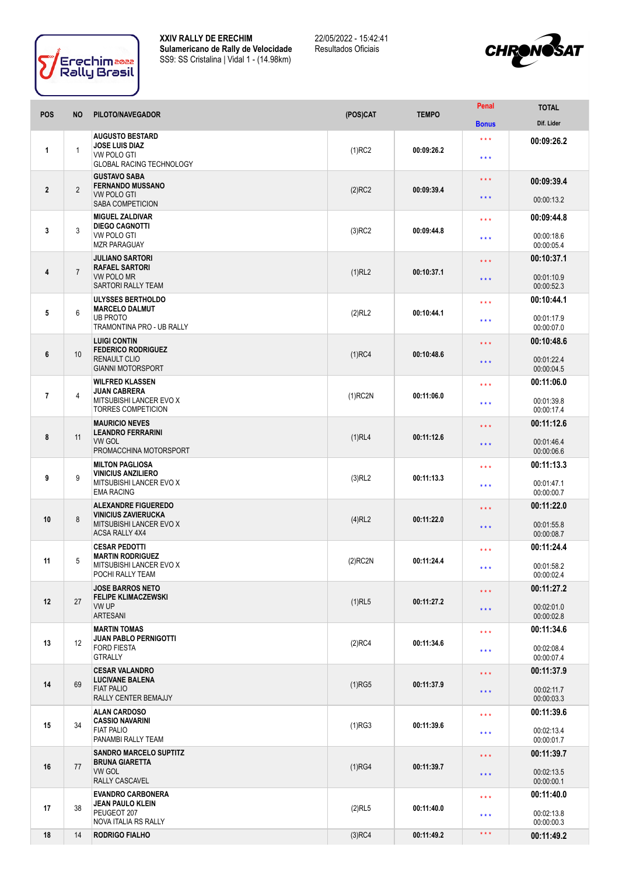



| <b>POS</b>     | <b>NO</b>      | PILOTO/NAVEGADOR                                                                                         | (POS)CAT   | <b>TEMPO</b> | Penal                            | <b>TOTAL</b>             |
|----------------|----------------|----------------------------------------------------------------------------------------------------------|------------|--------------|----------------------------------|--------------------------|
|                |                |                                                                                                          |            |              | <b>Bonus</b>                     | Dif. Lider               |
| 1              | $\mathbf{1}$   | <b>AUGUSTO BESTARD</b><br><b>JOSE LUIS DIAZ</b><br><b>VW POLO GTI</b><br><b>GLOBAL RACING TECHNOLOGY</b> | $(1)$ RC2  | 00:09:26.2   | $\star$ $\star$ $\star$<br>$***$ | 00:09:26.2               |
| $\overline{2}$ | $\overline{2}$ | <b>GUSTAVO SABA</b><br><b>FERNANDO MUSSANO</b><br><b>VW POLO GTI</b><br>SABA COMPETICION                 |            |              | $\star\star\star$                | 00:09:39.4               |
|                |                |                                                                                                          | $(2)$ RC2  | 00:09:39.4   | $***$                            | 00:00:13.2               |
|                | 3              | <b>MIGUEL ZALDIVAR</b><br><b>DIEGO CAGNOTTI</b><br>VW POLO GTI<br><b>MZR PARAGUAY</b>                    | $(3)$ RC2  | 00:09:44.8   | $\star\star\star$                | 00:09:44.8               |
| 3              |                |                                                                                                          |            |              | $***$                            | 00:00:18.6<br>00:00:05.4 |
|                |                | <b>JULIANO SARTORI</b><br><b>RAFAEL SARTORI</b><br><b>VW POLO MR</b><br><b>SARTORI RALLY TEAM</b>        | $(1)$ RL2  | 00:10:37.1   | $\star \star \star$              | 00:10:37.1               |
| 4              | $\overline{7}$ |                                                                                                          |            |              | $***$                            | 00:01:10.9<br>00:00:52.3 |
|                |                | <b>ULYSSES BERTHOLDO</b><br><b>MARCELO DALMUT</b>                                                        |            | 00:10:44.1   | $\star \star \star$              | 00:10:44.1               |
| 5              | 6              | <b>UB PROTO</b><br>TRAMONTINA PRO - UB RALLY                                                             | (2)RL2     |              | $***$                            | 00:01:17.9<br>00:00:07.0 |
|                |                | <b>LUIGI CONTIN</b><br><b>FEDERICO RODRIGUEZ</b>                                                         |            | 00:10:48.6   | $\star \star \star$              | 00:10:48.6               |
| 6              | 10             | <b>RENAULT CLIO</b><br><b>GIANNI MOTORSPORT</b>                                                          | $(1)$ RC4  |              | $***$                            | 00:01:22.4<br>00:00:04.5 |
|                |                | <b>WILFRED KLASSEN</b><br>JUAN CABRERA<br>MITSUBISHI LANCER EVO X<br><b>TORRES COMPETICION</b>           |            |              | $\star\star\star$                | 00:11:06.0               |
| $\overline{7}$ | 4              |                                                                                                          | $(1)$ RC2N | 00:11:06.0   | $***$                            | 00:01:39.8<br>00:00:17.4 |
|                |                | <b>MAURICIO NEVES</b>                                                                                    |            |              | $\star\star\star$                | 00:11:12.6               |
| 8              | 11             | <b>LEANDRO FERRARINI</b><br>VW GOL<br>PROMACCHINA MOTORSPORT                                             | $(1)$ RL4  | 00:11:12.6   | $***$                            | 00:01:46.4<br>00:00:06.6 |
|                |                | <b>MILTON PAGLIOSA</b><br><b>VINICIUS ANZILIERO</b><br>MITSUBISHI LANCER EVO X<br><b>EMA RACING</b>      | $(3)$ RL2  | 00:11:13.3   | * * *                            | 00:11:13.3               |
| 9              | 9              |                                                                                                          |            |              | $***$                            | 00:01:47.1<br>00:00:00.7 |
|                |                | <b>ALEXANDRE FIGUEREDO</b><br><b>VINICIUS ZAVIERUCKA</b>                                                 |            | 00:11:22.0   | $\star\star\star$                | 00:11:22.0               |
| 10             | 8              | MITSUBISHI LANCER EVO X<br>ACSA RALLY 4X4                                                                | $(4)$ RL2  |              | $***$                            | 00:01:55.8<br>00:00:08.7 |
|                |                | <b>CESAR PEDOTTI</b><br><b>MARTIN RODRIGUEZ</b>                                                          |            |              | $***$                            | 00:11:24.4               |
| 11             | 5              | MITSUBISHI LANCER EVO X<br>POCHI RALLY TEAM                                                              | $(2)$ RC2N | 00:11:24.4   | * * *                            | 00:01:58.2<br>00:00:02.4 |
|                |                | <b>JOSE BARROS NETO</b><br><b>FELIPE KLIMACZEWSKI</b>                                                    |            | 00:11:27.2   | $\star\star\star$                | 00:11:27.2               |
| 12             | 27             | VW UP<br><b>ARTESANI</b>                                                                                 | $(1)$ RL5  |              | $***$                            | 00:02:01.0<br>00:00:02.8 |
|                |                | <b>MARTIN TOMAS</b><br><b>JUAN PABLO PERNIGOTTI</b><br><b>FORD FIESTA</b><br><b>GTRALLY</b>              |            | 00:11:34.6   | $***$                            | 00:11:34.6               |
| 13             | 12             |                                                                                                          | $(2)$ RC4  |              | $***$                            | 00:02:08.4<br>00:00:07.4 |
|                | 69             | <b>CESAR VALANDRO</b><br><b>LUCIVANE BALENA</b><br><b>FIAT PALIO</b><br>RALLY CENTER BEMAJJY             | $(1)$ RG5  | 00:11:37.9   | $***$                            | 00:11:37.9               |
| 14             |                |                                                                                                          |            |              | $***$                            | 00:02:11.7<br>00:00:03.3 |
|                | 34             | <b>ALAN CARDOSO</b><br><b>CASSIO NAVARINI</b><br><b>FIAT PALIO</b><br>PANAMBI RALLY TEAM                 | $(1)$ RG3  | 00:11:39.6   | $***$                            | 00:11:39.6               |
| 15             |                |                                                                                                          |            |              | $***$                            | 00:02:13.4<br>00:00:01.7 |
|                | 77             | <b>SANDRO MARCELO SUPTITZ</b><br><b>BRUNA GIARETTA</b><br><b>VW GOL</b><br>RALLY CASCAVEL                | (1)RG4     | 00:11:39.7   | $***$                            | 00:11:39.7               |
| 16             |                |                                                                                                          |            |              | $\star\star\star$                | 00:02:13.5<br>00:00:00.1 |
| 17             | 38             | <b>EVANDRO CARBONERA</b><br>JEAN PAULO KLEIN<br>PEUGEOT 207<br>NOVA ITALIA RS RALLY                      | $(2)$ RL5  | 00:11:40.0   | $***$                            | 00:11:40.0               |
|                |                |                                                                                                          |            |              | $***$                            | 00:02:13.8<br>00:00:00.3 |
| 18             | 14             | <b>RODRIGO FIALHO</b>                                                                                    | $(3)$ RC4  | 00:11:49.2   | $\star$ $\star$ $\star$          | 00:11:49.2               |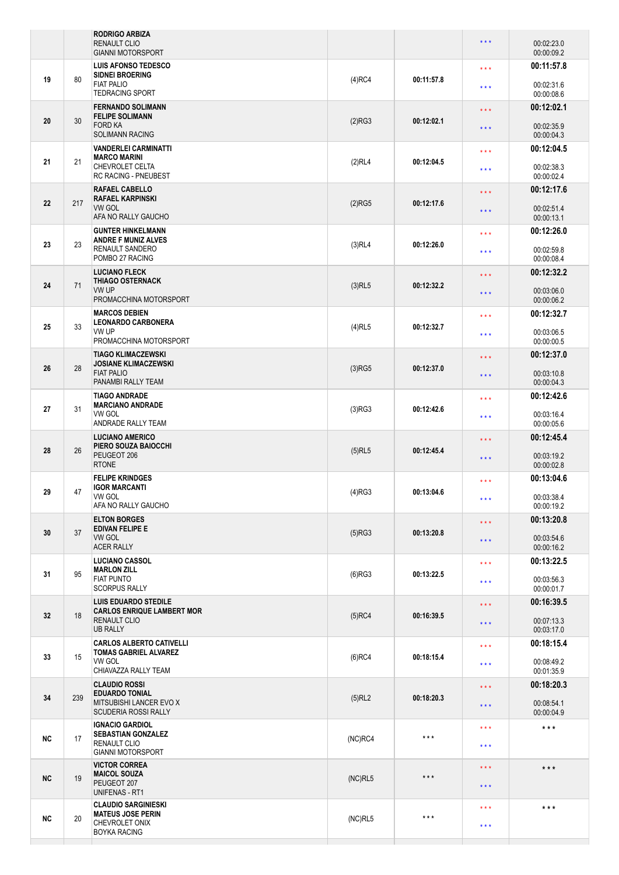|                   |     | <b>RODRIGO ARBIZA</b><br><b>RENAULT CLIO</b><br><b>GIANNI MOTORSPORT</b>                                                      |            |                   | $\star$ $\star$ $\star$                            | 00:02:23.0<br>00:00:09.2 |
|-------------------|-----|-------------------------------------------------------------------------------------------------------------------------------|------------|-------------------|----------------------------------------------------|--------------------------|
| 19                | 80  | <b>LUIS AFONSO TEDESCO</b><br><b>SIDNEI BROERING</b><br><b>FIAT PALIO</b>                                                     | $(4)$ RC4  | 00:11:57.8        | $***$                                              | 00:11:57.8<br>00:02:31.6 |
|                   |     | <b>TEDRACING SPORT</b>                                                                                                        |            |                   | $\star \star \star$                                | 00:00:08.6               |
| 20                | 30  | <b>FERNANDO SOLIMANN</b><br><b>FELIPE SOLIMANN</b><br><b>FORD KA</b><br><b>SOLIMANN RACING</b><br><b>VANDERLEI CARMINATTI</b> | (2)RG3     | 00:12:02.1        | $\star\star\star$<br>$\star \star \star$           | 00:12:02.1<br>00:02:35.9 |
|                   |     |                                                                                                                               |            |                   |                                                    | 00:00:04.3<br>00:12:04.5 |
| 21                | 21  | <b>MARCO MARINI</b><br><b>CHEVROLET CELTA</b><br>RC RACING - PNEUBEST                                                         | (2)RL4     | 00:12:04.5        | $***$<br>$\star \star \star$                       | 00:02:38.3<br>00:00:02.4 |
|                   |     | <b>RAFAEL CABELLO</b><br><b>RAFAEL KARPINSKI</b>                                                                              |            | 00:12:17.6        | $\star\star\star$                                  | 00:12:17.6               |
| $22 \overline{ }$ | 217 | <b>VW GOL</b><br>AFA NO RALLY GAUCHO                                                                                          | $(2)$ RG5  |                   | $\star \star \star$                                | 00:02:51.4<br>00:00:13.1 |
|                   |     | <b>GUNTER HINKELMANN</b><br><b>ANDRE F MUNIZ ALVES</b>                                                                        |            |                   | $***$                                              | 00:12:26.0               |
| 23                | 23  | RENAULT SANDERO<br>POMBO 27 RACING                                                                                            | $(3)$ RL4  | 00:12:26.0        | $***$                                              | 00:02:59.8<br>00:00:08.4 |
| 24                | 71  | <b>LUCIANO FLECK</b><br><b>THIAGO OSTERNACK</b>                                                                               | $(3)$ RL5  | 00:12:32.2        | $\star\star\star$                                  | 00:12:32.2               |
|                   |     | VW UP<br>PROMACCHINA MOTORSPORT                                                                                               |            |                   | $***$                                              | 00:03:06.0<br>00:00:06.2 |
|                   |     | <b>MARCOS DEBIEN</b><br><b>LEONARDO CARBONERA</b>                                                                             |            |                   | $***$                                              | 00:12:32.7               |
| 25                | 33  | VW UP<br>PROMACCHINA MOTORSPORT                                                                                               | $(4)$ RL5  | 00:12:32.7        | $\star \star \star$                                | 00:03:06.5<br>00:00:00.5 |
|                   |     | <b>TIAGO KLIMACZEWSKI</b><br><b>JOSIANE KLIMACZEWSKI</b><br><b>FIAT PALIO</b><br>PANAMBI RALLY TEAM                           |            |                   | $\star\star\star$                                  | 00:12:37.0               |
| 26                | 28  |                                                                                                                               | $(3)$ RG5  | 00:12:37.0        | $\star \star \star$                                | 00:03:10.8<br>00:00:04.3 |
| 27                |     | <b>TIAGO ANDRADE</b><br><b>MARCIANO ANDRADE</b><br>VW GOL<br>ANDRADE RALLY TEAM                                               |            | 00:12:42.6        | $***$                                              | 00:12:42.6               |
|                   | 31  |                                                                                                                               | (3)RG3     |                   | $\star \star \star$                                | 00:03:16.4<br>00:00:05.6 |
|                   | 26  | <b>LUCIANO AMERICO</b><br>PIERO SOUZA BAIOCCHI<br>PEUGEOT 206<br><b>RTONE</b>                                                 |            | 00:12:45.4        | $\star\star\star$                                  | 00:12:45.4               |
| 28                |     |                                                                                                                               | $(5)$ RL5  |                   | $***$                                              | 00:03:19.2<br>00:00:02.8 |
| 29                | 47  | <b>FELIPE KRINDGES</b><br><b>IGOR MARCANTI</b><br>VW GOL<br>AFA NO RALLY GAUCHO                                               | (4)RG3     | 00:13:04.6        | $***$                                              | 00:13:04.6               |
|                   |     |                                                                                                                               |            |                   | $***$                                              | 00:03:38.4<br>00:00:19.2 |
|                   | 37  | <b>ELTON BORGES</b><br><b>EDIVAN FELIPE E</b><br><b>VW GOL</b><br><b>ACER RALLY</b>                                           |            | 00:13:20.8        | $\star \star \star$                                | 00:13:20.8               |
| 30                |     |                                                                                                                               | $(5)$ RG3  |                   | $\star$ $\star$ $\star$                            | 00:03:54.6<br>00:00:16.2 |
|                   | 95  | <b>LUCIANO CASSOL</b><br><b>MARLON ZILL</b><br><b>FIAT PUNTO</b><br><b>SCORPUS RALLY</b>                                      |            | 00:13:22.5        | $***$                                              | 00:13:22.5               |
| 31                |     |                                                                                                                               | $(6)$ RG3  |                   | $\star \star \star$                                | 00:03:56.3<br>00:00:01.7 |
|                   | 18  | <b>LUIS EDUARDO STEDILE</b><br><b>CARLOS ENRIQUE LAMBERT MOR</b><br><b>RENAULT CLIO</b><br><b>UB RALLY</b>                    |            | 00:16:39.5        | $\star\star\star$                                  | 00:16:39.5               |
| 32                |     |                                                                                                                               | $(5)$ RC4  |                   | $\star\star\star$                                  | 00:07:13.3<br>00:03:17.0 |
|                   | 15  | <b>CARLOS ALBERTO CATIVELLI</b><br><b>TOMAS GABRIEL ALVAREZ</b><br><b>VW GOL</b><br>CHIAVAZZA RALLY TEAM                      |            | 00:18:15.4        | $\star \star \star$                                | 00:18:15.4               |
| 33                |     |                                                                                                                               | $(6)$ RC4  |                   | $\star\star\star$                                  | 00:08:49.2<br>00:01:35.9 |
|                   | 239 | <b>CLAUDIO ROSSI</b><br><b>EDUARDO TONIAL</b><br>MITSUBISHI LANCER EVO X<br><b>SCUDERIA ROSSI RALLY</b>                       |            | 00:18:20.3        | $\star \star \star$                                | 00:18:20.3               |
| 34                |     |                                                                                                                               | $(5)$ RL2  |                   | $\star$ $\star$ $\star$                            | 00:08:54.1<br>00:00:04.9 |
| <b>NC</b>         | 17  | <b>IGNACIO GARDIOL</b><br><b>SEBASTIAN GONZALEZ</b><br>RENAULT CLIO<br><b>GIANNI MOTORSPORT</b>                               | $(NC)$ RC4 | $***$             | $\star$ $\star$ $\star$<br>$\star$ $\star$ $\star$ | $\star$ $\star$ $\star$  |
|                   | 19  | <b>VICTOR CORREA</b><br><b>MAICOL SOUZA</b><br>PEUGEOT 207<br>UNIFENAS - RT1                                                  |            | $***$             | $***$                                              | $***$                    |
| <b>NC</b>         |     |                                                                                                                               | (NC)RL5    |                   | $***$                                              |                          |
| <b>NC</b>         | 20  | <b>CLAUDIO SARGINIESKI</b><br><b>MATEUS JOSE PERIN</b><br>CHEVROLET ONIX<br><b>BOYKA RACING</b>                               | (NC)RL5    | $\star\star\star$ | $\star\star\star$                                  | $***$                    |
|                   |     |                                                                                                                               |            |                   | $\star\star\star$                                  |                          |